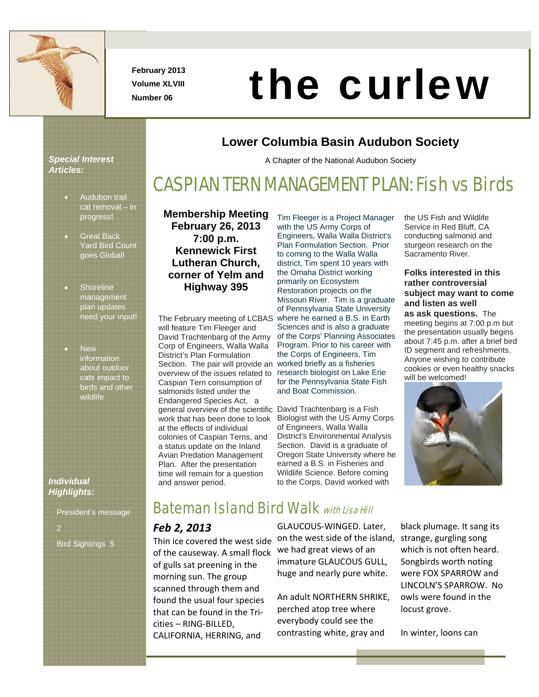

**February 2013 Volume XLVIII** 

# Number 06 **the curlew Curlew**

### *Special Interest Articles:*

- Audubon trail cat removal – in progress!
- **Great Back** Yard Bird Count goes Global!
- **Shoreline** management plan updates need your input!
- New information about outdoor cats impact to birds and other wildlife

### *Individual Highlights:*

President's message Bird Sightings 5

### **Membership Meeting February 26, 2013 7:00 p.m. Kennewick First Lutheran Church, corner of Yelm and Highway 395**

The February meeting of LCBAS will feature Tim Fleeger and David Trachtenbarg of the Army Corp of Engineers, Walla Walla District's Plan Formulation Section. The pair will provide an overview of the issues related to Caspian Tern consumption of salmonids listed under the Endangered Species Act, a general overview of the scientific David Trachtenbarg is a Fish work that has been done to look at the effects of individual colonies of Caspian Terns, and a status update on the Inland Avian Predation Management Plan. After the presentation time will remain for a question and answer period.

Tim Fleeger is a Project Manager with the US Army Corps of Engineers, Walla Walla District's Plan Formulation Section. Prior to coming to the Walla Walla district, Tim spent 10 years with the Omaha District working primarily on Ecosystem Restoration projects on the Missouri River. Tim is a graduate of Pennsylvania State University where he earned a B.S. in Earth Sciences and is also a graduate of the Corps' Planning Associates Program. Prior to his career with the Corps of Engineers, Tim worked briefly as a fisheries research biologist on Lake Erie for the Pennsylvania State Fish and Boat Commission.

**Lower Columbia Basin Audubon Society** 

A Chapter of the National Audubon Society

CASPIAN TERN MANAGEMENT PLAN: Fish vs Birds

Biologist with the US Army Corps of Engineers, Walla Walla District's Environmental Analysis Section. David is a graduate of Oregon State University where he earned a B.S. in Fisheries and Wildlife Science. Before coming to the Corps, David worked with

the US Fish and Wildlife Service in Red Bluff, CA conducting salmonid and sturgeon research on the Sacramento River.

### **Folks interested in this rather controversial subject may want to come and listen as well**

**as ask questions.** The meeting begins at 7:00 p.m but the presentation usually begins about 7:45 p.m. after a brief bird ID segment and refreshments. Anyone wishing to contribute cookies or even healthy snacks will be welcomed!



# **Bateman Island Bird Walk with Lisa Hill**

### *Feb 2, 2013*

Thin ice covered the west side of the causeway. A small flock of gulls sat preening in the morning sun. The group scanned through them and found the usual four species that can be found in the Tri‐ cities – RING‐BILLED, CALIFORNIA, HERRING, and

GLAUCOUS‐WINGED. Later, on the west side of the island, we had great views of an immature GLAUCOUS GULL, huge and nearly pure white.

An adult NORTHERN SHRIKE, perched atop tree where everybody could see the contrasting white, gray and

black plumage. It sang its strange, gurgling song which is not often heard. Songbirds worth noting were FOX SPARROW and LINCOLN'S SPARROW. No owls were found in the locust grove.

In winter, loons can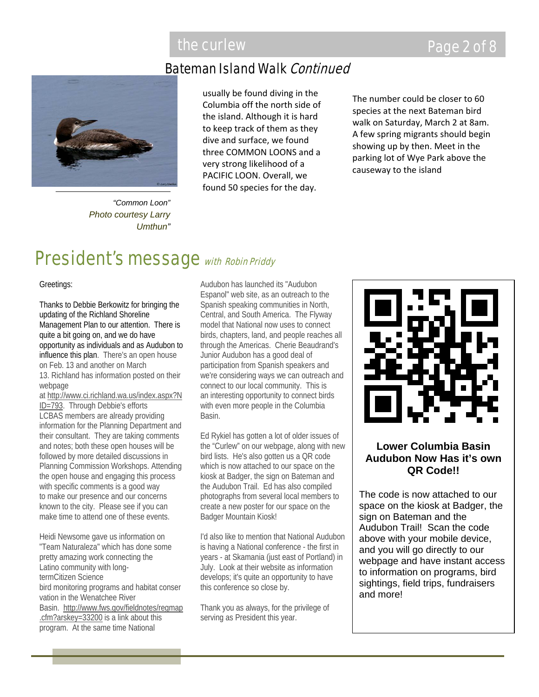### Bateman Island Walk Continued

*"Common Loon" Photo courtesy Larry Umthun"*

usually be found diving in the Columbia off the north side of the island. Although it is hard to keep track of them as they dive and surface, we found three COMMON LOONS and a very strong likelihood of a PACIFIC LOON. Overall, we found 50 species for the day.

The number could be closer to 60 species at the next Bateman bird walk on Saturday, March 2 at 8am. A few spring migrants should begin showing up by then. Meet in the parking lot of Wye Park above the causeway to the island

# President's message with Robin Priddy

Greetings:

Thanks to Debbie Berkowitz for bringing the updating of the Richland Shoreline Management Plan to our attention. There is quite a bit going on, and we do have opportunity as individuals and as Audubon to influence this plan. There's an open house on Feb. 13 and another on March 13. Richland has information posted on their webpage

at http://www.ci.richland.wa.us/index.aspx?N ID=793. Through Debbie's efforts LCBAS members are already providing information for the Planning Department and their consultant. They are taking comments and notes; both these open houses will be followed by more detailed discussions in Planning Commission Workshops. Attending the open house and engaging this process with specific comments is a good way to make our presence and our concerns known to the city. Please see if you can make time to attend one of these events.

Heidi Newsome gave us information on "Team Naturaleza" which has done some pretty amazing work connecting the Latino community with longtermCitizen Science bird monitoring programs and habitat conser vation in the Wenatchee River Basin. http://www.fws.gov/fieldnotes/regmap .cfm?arskey=33200 is a link about this program. At the same time National

Audubon has launched its "Audubon Espanol" web site, as an outreach to the Spanish speaking communities in North, Central, and South America. The Flyway model that National now uses to connect birds, chapters, land, and people reaches all through the Americas. Cherie Beaudrand's Junior Audubon has a good deal of participation from Spanish speakers and we're considering ways we can outreach and connect to our local community. This is an interesting opportunity to connect birds with even more people in the Columbia Basin.

Ed Rykiel has gotten a lot of older issues of the "Curlew" on our webpage, along with new bird lists. He's also gotten us a QR code which is now attached to our space on the kiosk at Badger, the sign on Bateman and the Audubon Trail. Ed has also compiled photographs from several local members to create a new poster for our space on the Badger Mountain Kiosk!

I'd also like to mention that National Audubon is having a National conference - the first in years - at Skamania (just east of Portland) in July. Look at their website as information develops; it's quite an opportunity to have this conference so close by.

Thank you as always, for the privilege of serving as President this year.



### **Lower Columbia Basin Audubon Now Has it's own QR Code!!**

The code is now attached to our space on the kiosk at Badger, the sign on Bateman and the Audubon Trail! Scan the code above with your mobile device, and you will go directly to our webpage and have instant access to information on programs, bird sightings, field trips, fundraisers and more!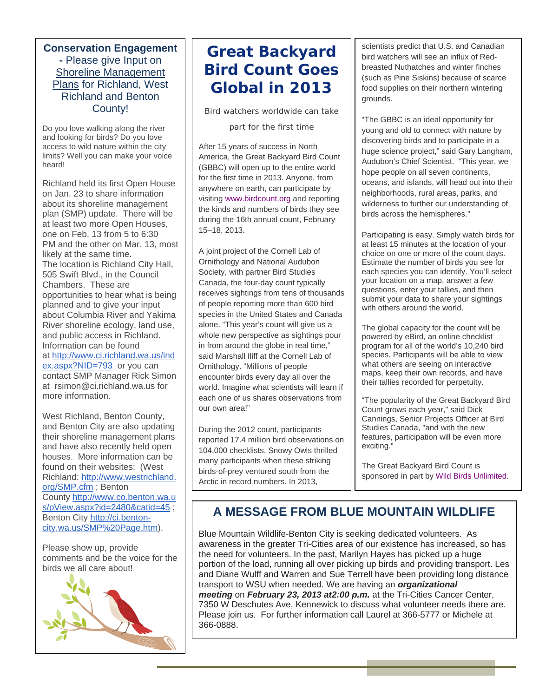### **Conservation Engagement -** Please give Input on Shoreline Management Plans for Richland, West Richland and Benton County!

Do you love walking along the river and looking for birds? Do you love access to wild nature within the city limits? Well you can make your voice heard!

Richland held its first Open House on Jan. 23 to share information about its shoreline management plan (SMP) update. There will be at least two more Open Houses, one on Feb. 13 from 5 to 6:30 PM and the other on Mar. 13, most likely at the same time. The location is Richland City Hall, 505 Swift Blvd., in the Council Chambers. These are opportunities to hear what is being planned and to give your input about Columbia River and Yakima River shoreline ecology, land use, and public access in Richland. Information can be found at http://www.ci.richland.wa.us/ind ex.aspx?NID=793 or you can contact SMP Manager Rick Simon at rsimon@ci.richland.wa.us for more information.

West Richland, Benton County, and Benton City are also updating their shoreline management plans and have also recently held open houses. More information can be found on their websites: (West Richland: http://www.westrichland. org/SMP.cfm ; Benton County http://www.co.benton.wa.u s/pView.aspx?id=2480&catid=45 ; Benton City http://ci.bentoncity.wa.us/SMP%20Page.htm).

Please show up, provide comments and be the voice for the birds we all care about!



# **Great Backyard Bird Count Goes Global in 2013**

*Bird watchers worldwide can take* 

*part for the first time*

After 15 years of success in North America, the Great Backyard Bird Count (GBBC) will open up to the entire world for the first time in 2013. Anyone, from anywhere on earth, can participate by visiting www.birdcount.org and reporting the kinds and numbers of birds they see during the 16th annual count, February 15–18, 2013.

A joint project of the Cornell Lab of Ornithology and National Audubon Society, with partner Bird Studies Canada, the four-day count typically receives sightings from tens of thousands of people reporting more than 600 bird species in the United States and Canada alone. "This year's count will give us a whole new perspective as sightings pour in from around the globe in real time," said Marshall Iliff at the Cornell Lab of Ornithology. "Millions of people encounter birds every day all over the world. Imagine what scientists will learn if each one of us shares observations from our own area!"

During the 2012 count, participants reported 17.4 million bird observations on 104,000 checklists. Snowy Owls thrilled many participants when these striking birds-of-prey ventured south from the Arctic in record numbers. In 2013,

scientists predict that U.S. and Canadian bird watchers will see an influx of Redbreasted Nuthatches and winter finches (such as Pine Siskins) because of scarce food supplies on their northern wintering grounds.

"The GBBC is an ideal opportunity for young and old to connect with nature by discovering birds and to participate in a huge science project," said Gary Langham, Audubon's Chief Scientist. "This year, we hope people on all seven continents, oceans, and islands, will head out into their neighborhoods, rural areas, parks, and wilderness to further our understanding of birds across the hemispheres."

Participating is easy. Simply watch birds for at least 15 minutes at the location of your choice on one or more of the count days. Estimate the number of birds you see for each species you can identify. You'll select your location on a map, answer a few questions, enter your tallies, and then submit your data to share your sightings with others around the world.

The global capacity for the count will be powered by eBird, an online checklist program for all of the world's 10,240 bird species. Participants will be able to view what others are seeing on interactive maps, keep their own records, and have their tallies recorded for perpetuity.

"The popularity of the Great Backyard Bird Count grows each year," said Dick Cannings, Senior Projects Officer at Bird Studies Canada, "and with the new features, participation will be even more exciting."

The Great Backyard Bird Count is sponsored in part by Wild Birds Unlimited.

## **A MESSAGE FROM BLUE MOUNTAIN WILDLIFE**

Blue Mountain Wildlife-Benton City is seeking dedicated volunteers. As awareness in the greater Tri-Cities area of our existence has increased, so has the need for volunteers. In the past, Marilyn Hayes has picked up a huge portion of the load, running all over picking up birds and providing transport. Les and Diane Wulff and Warren and Sue Terrell have been providing long distance transport to WSU when needed. We are having an *organizational meeting* on *February 23, 2013 at2:00 p.m.* at the Tri-Cities Cancer Center, 7350 W Deschutes Ave, Kennewick to discuss what volunteer needs there are. Please join us. For further information call Laurel at 366-5777 or Michele at 366-0888.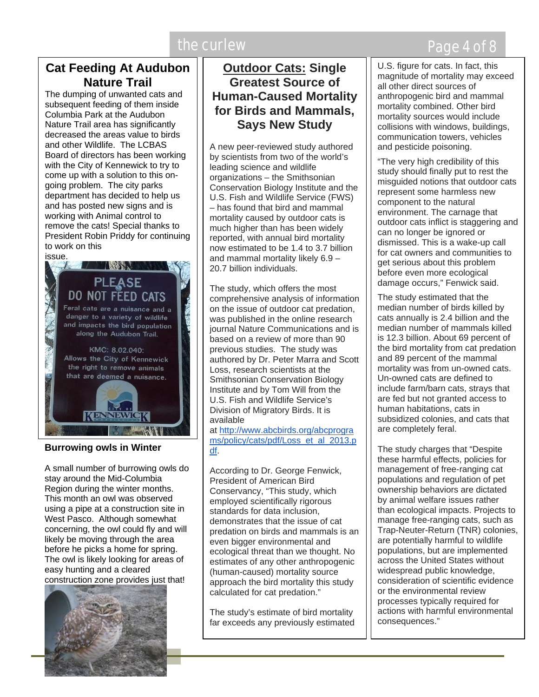# the curlew **EXACTER** CONTROLLER THE Page 4 of 8

### **Cat Feeding At Audubon Nature Trail**

The dumping of unwanted cats and subsequent feeding of them inside Columbia Park at the Audubon Nature Trail area has significantly decreased the areas value to birds and other Wildlife. The LCBAS Board of directors has been working with the City of Kennewick to try to come up with a solution to this ongoing problem. The city parks department has decided to help us and has posted new signs and is working with Animal control to remove the cats! Special thanks to President Robin Priddy for continuing to work on this



### **Burrowing owls in Winter**

A small number of burrowing owls do stay around the Mid-Columbia Region during the winter months. This month an owl was observed using a pipe at a construction site in West Pasco. Although somewhat concerning, the owl could fly and will likely be moving through the area before he picks a home for spring. The owl is likely looking for areas of easy hunting and a cleared construction zone provides just that!



### **Outdoor Cats: Single Greatest Source of Human-Caused Mortality for Birds and Mammals, Says New Study**

A new peer-reviewed study authored by scientists from two of the world's leading science and wildlife organizations – the Smithsonian Conservation Biology Institute and the U.S. Fish and Wildlife Service (FWS) – has found that bird and mammal mortality caused by outdoor cats is much higher than has been widely reported, with annual bird mortality now estimated to be 1.4 to 3.7 billion and mammal mortality likely 6.9 – 20.7 billion individuals.

The study, which offers the most comprehensive analysis of information on the issue of outdoor cat predation, was published in the online research journal Nature Communications and is based on a review of more than 90 previous studies. The study was authored by Dr. Peter Marra and Scott Loss, research scientists at the Smithsonian Conservation Biology Institute and by Tom Will from the U.S. Fish and Wildlife Service's Division of Migratory Birds. It is available

at http://www.abcbirds.org/abcprogra ms/policy/cats/pdf/Loss\_et\_al\_2013.p df.

According to Dr. George Fenwick, President of American Bird Conservancy, "This study, which employed scientifically rigorous standards for data inclusion, demonstrates that the issue of cat predation on birds and mammals is an even bigger environmental and ecological threat than we thought. No estimates of any other anthropogenic (human-caused) mortality source approach the bird mortality this study calculated for cat predation."

The study's estimate of bird mortality far exceeds any previously estimated U.S. figure for cats. In fact, this magnitude of mortality may exceed all other direct sources of anthropogenic bird and mammal mortality combined. Other bird mortality sources would include collisions with windows, buildings, communication towers, vehicles and pesticide poisoning.

"The very high credibility of this study should finally put to rest the misguided notions that outdoor cats represent some harmless new component to the natural environment. The carnage that outdoor cats inflict is staggering and can no longer be ignored or dismissed. This is a wake-up call for cat owners and communities to get serious about this problem before even more ecological damage occurs," Fenwick said.

The study estimated that the median number of birds killed by cats annually is 2.4 billion and the median number of mammals killed is 12.3 billion. About 69 percent of the bird mortality from cat predation and 89 percent of the mammal mortality was from un-owned cats. Un-owned cats are defined to include farm/barn cats, strays that are fed but not granted access to human habitations, cats in subsidized colonies, and cats that are completely feral.

The study charges that "Despite these harmful effects, policies for management of free-ranging cat populations and regulation of pet ownership behaviors are dictated by animal welfare issues rather than ecological impacts. Projects to manage free-ranging cats, such as Trap-Neuter-Return (TNR) colonies, are potentially harmful to wildlife populations, but are implemented across the United States without widespread public knowledge, consideration of scientific evidence or the environmental review processes typically required for actions with harmful environmental consequences."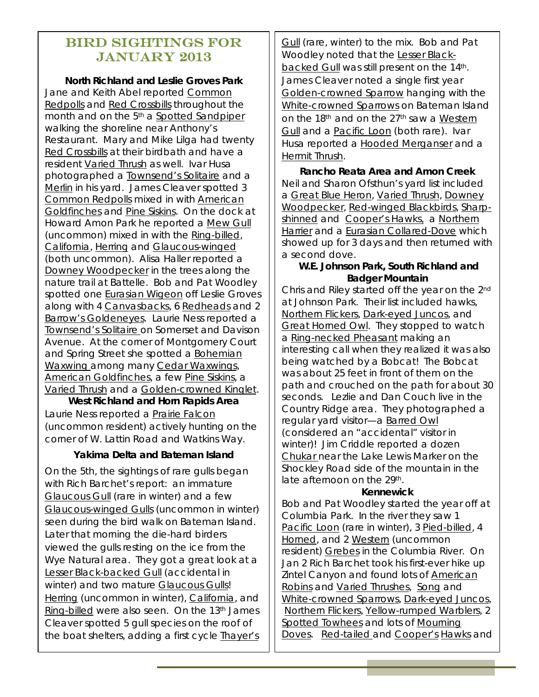### Bird Sightings for January 2013

**North Richland and Leslie Groves Park** 

Jane and Keith Abel reported Common Redpolls and Red Crossbills throughout the month and on the 5<sup>th</sup> a Spotted Sandpiper walking the shoreline near Anthony's Restaurant. Mary and Mike Lilga had twenty Red Crossbills at their birdbath and have a resident Varied Thrush as well. Ivar Husa photographed a Townsend's Solitaire and a Merlin in his yard. James Cleaver spotted 3 Common Redpolls mixed in with American Goldfinches and Pine Siskins. On the dock at Howard Amon Park he reported a Mew Gull (uncommon) mixed in with the Ring-billed, California, Herring and Glaucous-winged (both uncommon). Alisa Haller reported a Downey Woodpecker in the trees along the nature trail at Battelle. Bob and Pat Woodley spotted one Eurasian Wigeon off Leslie Groves along with 4 Canvasbacks, 6 Redheads and 2 Barrow's Goldeneyes. Laurie Ness reported a Townsend's Solitaire on Somerset and Davison Avenue. At the corner of Montgomery Court and Spring Street she spotted a Bohemian Waxwing among many Cedar Waxwings, American Goldfinches, a few Pine Siskins, a Varied Thrush and a Golden-crowned Kinglet.

**West Richland and Horn Rapids Area**  Laurie Ness reported a Prairie Falcon (uncommon resident) actively hunting on the corner of W. Lattin Road and Watkins Way.

### **Yakima Delta and Bateman Island**

On the 5th, the sightings of rare gulls began with Rich Barchet's report: an immature Glaucous Gull (rare in winter) and a few Glaucous-winged Gulls (uncommon in winter) seen during the bird walk on Bateman Island. Later that morning the die-hard birders viewed the gulls resting on the ice from the Wye Natural area. They got a great look at a Lesser Black-backed Gull (accidental in winter) and two mature Glaucous Gulls! Herring (uncommon in winter), California, and Ring-billed were also seen. On the 13<sup>th</sup> James Cleaver spotted 5 gull species on the roof of the boat shelters, adding a first cycle Thayer's

**Gull** (rare, winter) to the mix. Bob and Pat Woodley noted that the Lesser Blackbacked Gull was still present on the 14th. James Cleaver noted a single first year Golden-crowned Sparrow hanging with the White-crowned Sparrows on Bateman Island on the 18<sup>th</sup> and on the 27<sup>th</sup> saw a Western Gull and a Pacific Loon (both rare). Ivar Husa reported a Hooded Merganser and a Hermit Thrush.

**Rancho Reata Area and Amon Creek**  Neil and Sharon Ofsthun's yard list included a Great Blue Heron, Varied Thrush, Downey Woodpecker, Red-winged Blackbirds, Sharpshinned and Cooper's Hawks, a Northern Harrier and a Eurasian Collared-Dove which showed up for 3 days and then returned with a second dove.

### **W.E. Johnson Park, South Richland and Badger Mountain**

Chris and Riley started off the year on the 2nd at Johnson Park. Their list included hawks, Northern Flickers, Dark-eyed Juncos, and Great Horned Owl. They stopped to watch a Ring-necked Pheasant making an interesting call when they realized it was also being watched by a Bobcat! The Bobcat was about 25 feet in front of them on the path and crouched on the path for about 30 seconds. Lezlie and Dan Couch live in the Country Ridge area. They photographed a regular yard visitor—a Barred Owl (considered an "accidental" visitor in winter)! Jim Criddle reported a dozen Chukar near the Lake Lewis Marker on the Shockley Road side of the mountain in the late afternoon on the 29th.

### **Kennewick**

Bob and Pat Woodley started the year off at Columbia Park. In the river they saw 1 Pacific Loon (rare in winter), 3 Pied-billed, 4 Horned, and 2 Western (uncommon resident) Grebes in the Columbia River. On Jan 2 Rich Barchet took his first-ever hike up Zintel Canyon and found lots of American Robins and Varied Thrushes, Song and White-crowned Sparrows, Dark-eyed Juncos, Northern Flickers, Yellow-rumped Warblers, 2 Spotted Towhees and lots of Mourning Doves. Red-tailed and Cooper's Hawks and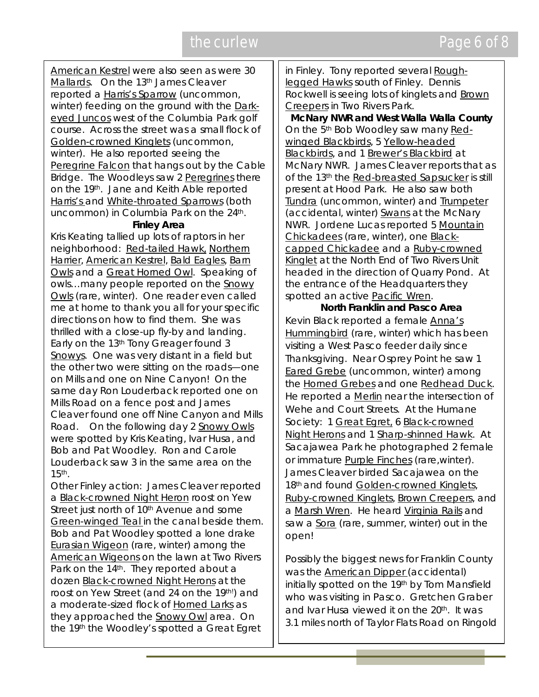American Kestrel were also seen as were 30 Mallards. On the 13<sup>th</sup> James Cleaver reported a Harris's Sparrow (uncommon, winter) feeding on the ground with the Darkeyed Juncos west of the Columbia Park golf course. Across the street was a small flock of Golden-crowned Kinglets (uncommon, winter). He also reported seeing the Peregrine Falcon that hangs out by the Cable Bridge. The Woodleys saw 2 Peregrines there on the 19th. Jane and Keith Able reported Harris's and White-throated Sparrows (both uncommon) in Columbia Park on the 24<sup>th</sup>.

### **Finley Area**

Kris Keating tallied up lots of raptors in her neighborhood: Red-tailed Hawk, Northern Harrier, American Kestrel, Bald Eagles, Barn Owls and a Great Horned Owl. Speaking of owls...many people reported on the Snowy Owls (rare, winter). One reader even called me at home to thank you all for your specific directions on how to find them. She was thrilled with a close-up fly-by and landing. Early on the 13th Tony Greager found 3 Snowys. One was very distant in a field but the other two were sitting on the roads—one on Mills and one on Nine Canyon! On the same day Ron Louderback reported one on Mills Road on a fence post and James Cleaver found one off Nine Canyon and Mills Road. On the following day 2 Snowy Owls were spotted by Kris Keating, Ivar Husa, and Bob and Pat Woodley. Ron and Carole Louderback saw 3 in the same area on the 15th.

Other Finley action: James Cleaver reported a Black-crowned Night Heron roost on Yew Street just north of 10<sup>th</sup> Avenue and some Green-winged Teal in the canal beside them. Bob and Pat Woodley spotted a lone drake Eurasian Wigeon (rare, winter) among the American Wigeons on the lawn at Two Rivers Park on the 14<sup>th</sup>. They reported about a dozen Black-crowned Night Herons at the roost on Yew Street (and 24 on the 19th!) and a moderate-sized flock of Horned Larks as they approached the Snowy Owl area. On the 19th the Woodley's spotted a Great Egret

in Finley. Tony reported several Roughlegged Hawks south of Finley. Dennis Rockwell is seeing lots of kinglets and Brown Creepers in Two Rivers Park.

**McNary NWR and West Walla Walla County**  On the 5th Bob Woodley saw many Redwinged Blackbirds, 5 Yellow-headed Blackbirds, and 1 Brewer's Blackbird at McNary NWR. James Cleaver reports that as of the 13<sup>th</sup> the Red-breasted Sapsucker is still present at Hood Park. He also saw both Tundra (uncommon, winter) and Trumpeter (accidental, winter) Swans at the McNary NWR. Jordene Lucas reported 5 Mountain Chickadees (rare, winter), one Blackcapped Chickadee and a Ruby-crowned Kinglet at the North End of Two Rivers Unit headed in the direction of Quarry Pond. At the entrance of the Headquarters they spotted an active Pacific Wren.

**North Franklin and Pasco Area**  Kevin Black reported a female Anna's Hummingbird (rare, winter) which has been visiting a West Pasco feeder daily since Thanksgiving. Near Osprey Point he saw 1 Eared Grebe (uncommon, winter) among the Horned Grebes and one Redhead Duck. He reported a Merlin near the intersection of Wehe and Court Streets. At the Humane Society: 1 Great Egret, 6 Black-crowned Night Herons and 1 Sharp-shinned Hawk. At Sacajawea Park he photographed 2 female or immature Purple Finches (rare,winter). James Cleaver birded Sacajawea on the 18<sup>th</sup> and found Golden-crowned Kinglets, Ruby-crowned Kinglets, Brown Creepers, and a Marsh Wren. He heard Virginia Rails and saw a Sora (rare, summer, winter) out in the open!

Possibly the biggest news for Franklin County was the American Dipper (accidental) initially spotted on the 19th by Tom Mansfield who was visiting in Pasco. Gretchen Graber and Ivar Husa viewed it on the 20th. It was 3.1 miles north of Taylor Flats Road on Ringold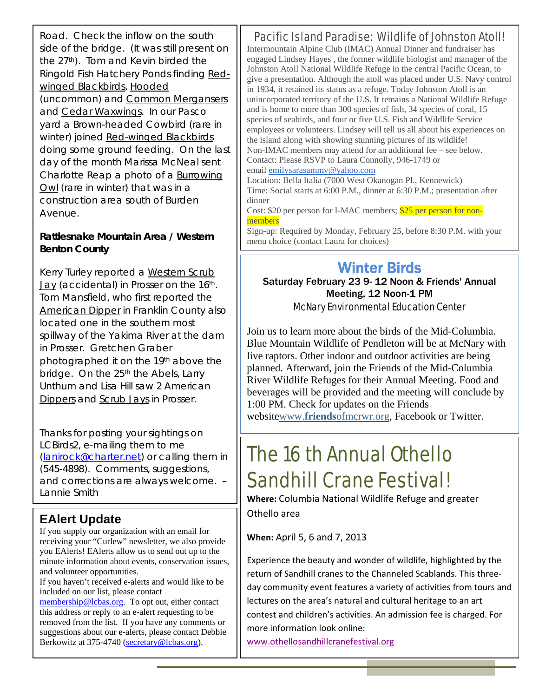Road. Check the inflow on the south side of the bridge. (It was still present on the 27<sup>th</sup>). Tom and Kevin birded the Ringold Fish Hatchery Ponds finding Redwinged Blackbirds, Hooded (uncommon) and Common Mergansers and Cedar Waxwings. In our Pasco yard a Brown-headed Cowbird (rare in winter) joined Red-winged Blackbirds doing some ground feeding. On the last day of the month Marissa McNeal sent Charlotte Reap a photo of a Burrowing Owl (rare in winter) that was in a construction area south of Burden Avenue.

### **Rattlesnake Mountain Area / Western Benton County**

Kerry Turley reported a Western Scrub Jay (accidental) in Prosser on the 16<sup>th</sup>. Tom Mansfield, who first reported the American Dipper in Franklin County also located one in the southern most spillway of the Yakima River at the dam in Prosser. Gretchen Graber photographed it on the 19th above the bridge. On the 25<sup>th</sup> the Abels, Larry Unthum and Lisa Hill saw 2 American Dippers and Scrub Jays in Prosser.

Thanks for posting your sightings on LCBirds2, e-mailing them to me (lanirock@charter.net) or calling them in (545-4898). Comments, suggestions, and corrections are always welcome. – Lannie Smith

### **EAlert Update**

If you supply our organization with an email for receiving your "Curlew" newsletter, we also provide you EAlerts! EAlerts allow us to send out up to the minute information about events, conservation issues, and volunteer opportunities.

If you haven't received e-alerts and would like to be included on our list, please contact

membership@lcbas.org. To opt out, either contact this address or reply to an e-alert requesting to be removed from the list. If you have any comments or suggestions about our e-alerts, please contact Debbie Berkowitz at 375-4740 (secretary@lcbas.org).

### Pacific Island Paradise: Wildlife of Johnston Atoll!

Intermountain Alpine Club (IMAC) Annual Dinner and fundraiser has engaged Lindsey Hayes , the former wildlife biologist and manager of the Johnston Atoll National Wildlife Refuge in the central Pacific Ocean, to give a presentation. Although the atoll was placed under U.S. Navy control in 1934, it retained its status as a refuge. Today Johnston Atoll is an unincorporated territory of the U.S. It remains a National Wildlife Refuge and is home to more than 300 species of fish, 34 species of coral, 15 species of seabirds, and four or five U.S. Fish and Wildlife Service employees or volunteers. Lindsey will tell us all about his experiences on the island along with showing stunning pictures of its wildlife! Non-IMAC members may attend for an additional fee – see below. Contact: Please RSVP to Laura Connolly, 946-1749 or email emilysarasammy@yahoo.com

Location: Bella Italia (7000 West Okanogan Pl., Kennewick) Time: Social starts at 6:00 P.M., dinner at 6:30 P.M.; presentation after dinner

Cost: \$20 per person for I-MAC members; \$25 per person for nonmembers

Sign-up: Required by Monday, February 25, before 8:30 P.M. with your menu choice (contact Laura for choices)

# Winter Birds

Saturday February 23 9- 12 Noon & Friends' Annual Meeting, 12 Noon-1 PM McNary Environmental Education Center

Join us to learn more about the birds of the Mid-Columbia. Blue Mountain Wildlife of Pendleton will be at McNary with live raptors. Other indoor and outdoor activities are being planned. Afterward, join the Friends of the Mid-Columbia River Wildlife Refuges for their Annual Meeting. Food and beverages will be provided and the meeting will conclude by 1:00 PM. Check for updates on the Friends websitewww.**friends**ofmcrwr.org, Facebook or Twitter.

# The 16 th Annual Othello Sandhill Crane Festival!

**Where:** Columbia National Wildlife Refuge and greater Othello area

**When:** April 5, 6 and 7, 2013

Experience the beauty and wonder of wildlife, highlighted by the return of Sandhill cranes to the Channeled Scablands. This three‐ day community event features a variety of activities from tours and lectures on the area's natural and cultural heritage to an art contest and children's activities. An admission fee is charged. For more information look online:

www.othellosandhillcranefestival.org